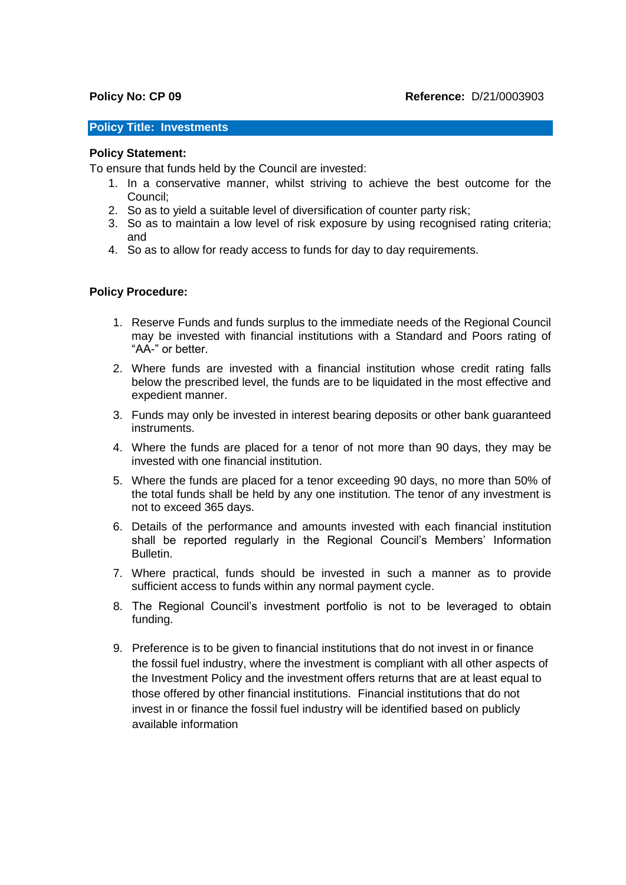## **Policy Title: Investments**

## **Policy Statement:**

To ensure that funds held by the Council are invested:

- 1. In a conservative manner, whilst striving to achieve the best outcome for the Council;
- 2. So as to yield a suitable level of diversification of counter party risk;
- 3. So as to maintain a low level of risk exposure by using recognised rating criteria; and
- 4. So as to allow for ready access to funds for day to day requirements.

## **Policy Procedure:**

- 1. Reserve Funds and funds surplus to the immediate needs of the Regional Council may be invested with financial institutions with a Standard and Poors rating of "AA-" or better.
- 2. Where funds are invested with a financial institution whose credit rating falls below the prescribed level, the funds are to be liquidated in the most effective and expedient manner.
- 3. Funds may only be invested in interest bearing deposits or other bank guaranteed instruments.
- 4. Where the funds are placed for a tenor of not more than 90 days, they may be invested with one financial institution.
- 5. Where the funds are placed for a tenor exceeding 90 days, no more than 50% of the total funds shall be held by any one institution. The tenor of any investment is not to exceed 365 days.
- 6. Details of the performance and amounts invested with each financial institution shall be reported regularly in the Regional Council's Members' Information Bulletin.
- 7. Where practical, funds should be invested in such a manner as to provide sufficient access to funds within any normal payment cycle.
- 8. The Regional Council's investment portfolio is not to be leveraged to obtain funding.
- 9. Preference is to be given to financial institutions that do not invest in or finance the fossil fuel industry, where the investment is compliant with all other aspects of the Investment Policy and the investment offers returns that are at least equal to those offered by other financial institutions. Financial institutions that do not invest in or finance the fossil fuel industry will be identified based on publicly available information